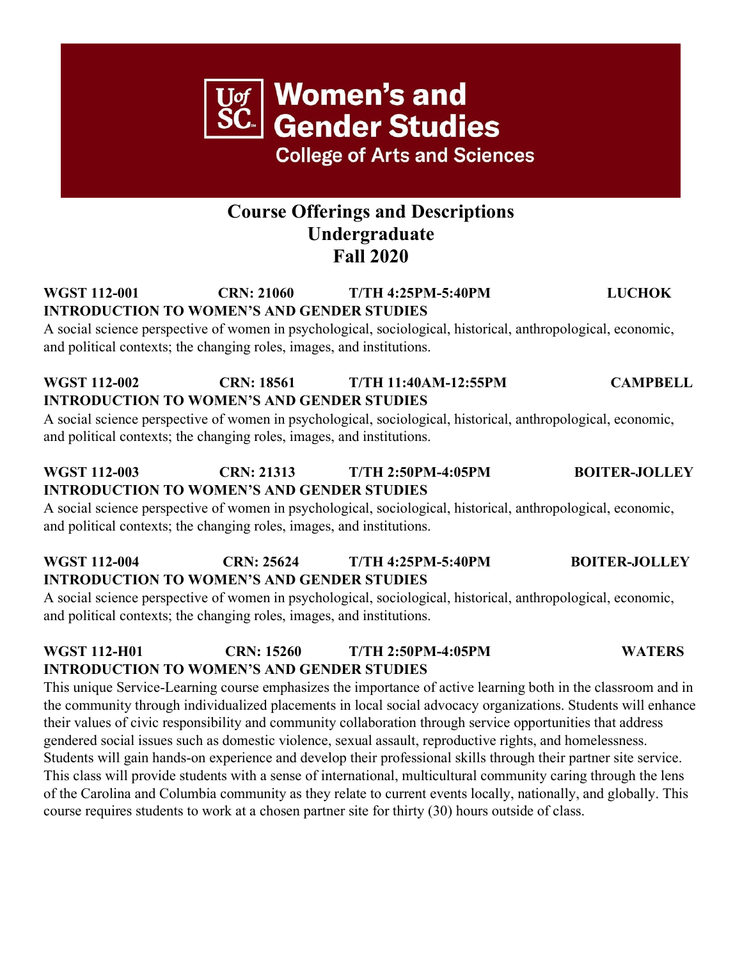# **Course Offerings and Descriptions Undergraduate Fall 2020**

**Women's and** 

**Gender Studies** 

**College of Arts and Sciences** 

# **WGST 112-001 CRN: 21060 T/TH 4:25PM-5:40PM LUCHOK INTRODUCTION TO WOMEN'S AND GENDER STUDIES**

A social science perspective of women in psychological, sociological, historical, anthropological, economic, and political contexts; the changing roles, images, and institutions.

# **WGST 112-002 CRN: 18561 T/TH 11:40AM-12:55PM CAMPBELL INTRODUCTION TO WOMEN'S AND GENDER STUDIES**

A social science perspective of women in psychological, sociological, historical, anthropological, economic, and political contexts; the changing roles, images, and institutions.

# **WGST 112-003 CRN: 21313 T/TH 2:50PM-4:05PM BOITER-JOLLEY INTRODUCTION TO WOMEN'S AND GENDER STUDIES**

A social science perspective of women in psychological, sociological, historical, anthropological, economic, and political contexts; the changing roles, images, and institutions.

# **WGST 112-004 CRN: 25624 T/TH 4:25PM-5:40PM BOITER-JOLLEY INTRODUCTION TO WOMEN'S AND GENDER STUDIES**

A social science perspective of women in psychological, sociological, historical, anthropological, economic, and political contexts; the changing roles, images, and institutions.

# **WGST 112-H01 CRN: 15260 T/TH 2:50PM-4:05PM WATERS INTRODUCTION TO WOMEN'S AND GENDER STUDIES**

This unique Service-Learning course emphasizes the importance of active learning both in the classroom and in the community through individualized placements in local social advocacy organizations. Students will enhance their values of civic responsibility and community collaboration through service opportunities that address gendered social issues such as domestic violence, sexual assault, reproductive rights, and homelessness. Students will gain hands-on experience and develop their professional skills through their partner site service. This class will provide students with a sense of international, multicultural community caring through the lens of the Carolina and Columbia community as they relate to current events locally, nationally, and globally. This course requires students to work at a chosen partner site for thirty (30) hours outside of class.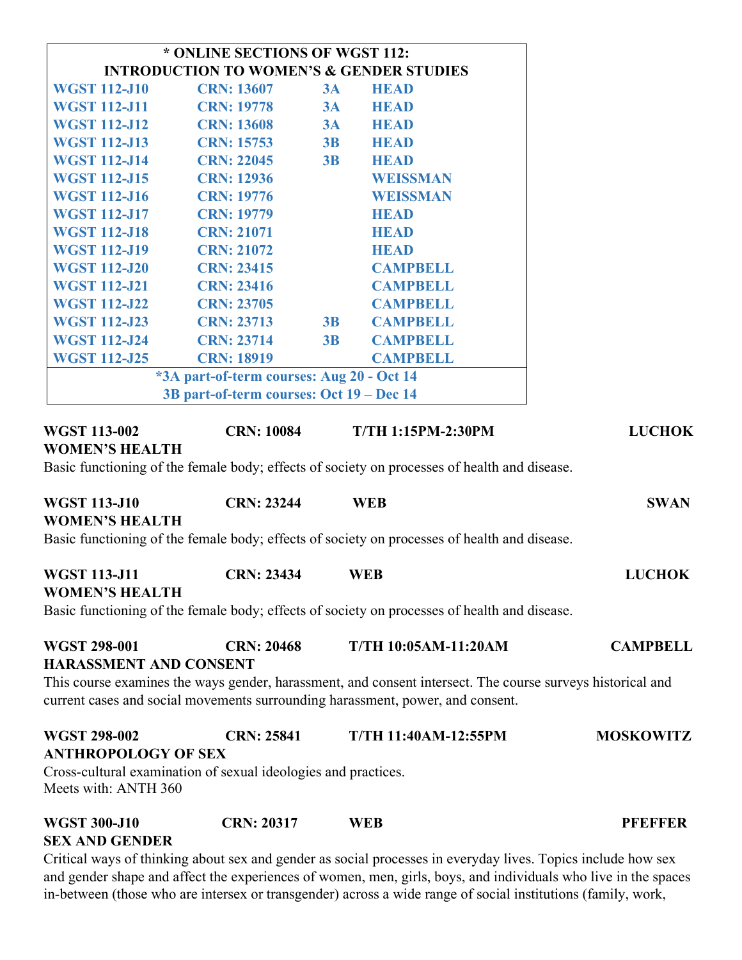|                                                                                        | * ONLINE SECTIONS OF WGST 112:                      |    |                                                                                                                           |                  |
|----------------------------------------------------------------------------------------|-----------------------------------------------------|----|---------------------------------------------------------------------------------------------------------------------------|------------------|
|                                                                                        | <b>INTRODUCTION TO WOMEN'S &amp; GENDER STUDIES</b> |    |                                                                                                                           |                  |
| <b>WGST 112-J10</b>                                                                    | <b>CRN: 13607</b>                                   | 3A | <b>HEAD</b>                                                                                                               |                  |
| <b>WGST 112-J11</b>                                                                    | <b>CRN: 19778</b>                                   | 3A | <b>HEAD</b>                                                                                                               |                  |
| <b>WGST 112-J12</b>                                                                    | <b>CRN: 13608</b>                                   | 3A | <b>HEAD</b>                                                                                                               |                  |
| <b>WGST 112-J13</b>                                                                    | <b>CRN: 15753</b>                                   | 3B | <b>HEAD</b>                                                                                                               |                  |
| <b>WGST 112-J14</b>                                                                    | <b>CRN: 22045</b>                                   | 3B | <b>HEAD</b>                                                                                                               |                  |
| <b>WGST 112-J15</b>                                                                    | <b>CRN: 12936</b>                                   |    | <b>WEISSMAN</b>                                                                                                           |                  |
| <b>WGST 112-J16</b>                                                                    | <b>CRN: 19776</b>                                   |    | <b>WEISSMAN</b>                                                                                                           |                  |
| <b>WGST 112-J17</b>                                                                    | <b>CRN: 19779</b>                                   |    | <b>HEAD</b>                                                                                                               |                  |
| <b>WGST 112-J18</b>                                                                    | <b>CRN: 21071</b>                                   |    | <b>HEAD</b>                                                                                                               |                  |
| <b>WGST 112-J19</b>                                                                    | <b>CRN: 21072</b>                                   |    | <b>HEAD</b>                                                                                                               |                  |
| <b>WGST 112-J20</b>                                                                    | <b>CRN: 23415</b>                                   |    | <b>CAMPBELL</b>                                                                                                           |                  |
| <b>WGST 112-J21</b>                                                                    | <b>CRN: 23416</b>                                   |    | <b>CAMPBELL</b>                                                                                                           |                  |
| <b>WGST 112-J22</b>                                                                    | <b>CRN: 23705</b>                                   |    | <b>CAMPBELL</b>                                                                                                           |                  |
| <b>WGST 112-J23</b>                                                                    | <b>CRN: 23713</b>                                   | 3B | <b>CAMPBELL</b>                                                                                                           |                  |
| <b>WGST 112-J24</b>                                                                    | <b>CRN: 23714</b>                                   | 3B | <b>CAMPBELL</b>                                                                                                           |                  |
| <b>WGST 112-J25</b>                                                                    | <b>CRN: 18919</b>                                   |    | <b>CAMPBELL</b>                                                                                                           |                  |
|                                                                                        | *3A part-of-term courses: Aug 20 - Oct 14           |    |                                                                                                                           |                  |
|                                                                                        | 3B part-of-term courses: Oct 19 - Dec 14            |    |                                                                                                                           |                  |
| <b>WGST 113-002</b><br><b>WOMEN'S HEALTH</b>                                           | <b>CRN: 10084</b>                                   |    | <b>T/TH 1:15PM-2:30PM</b><br>Basic functioning of the female body; effects of society on processes of health and disease. | <b>LUCHOK</b>    |
|                                                                                        |                                                     |    |                                                                                                                           |                  |
| <b>WGST 113-J10</b>                                                                    | <b>CRN: 23244</b>                                   |    | <b>WEB</b>                                                                                                                | <b>SWAN</b>      |
| <b>WOMEN'S HEALTH</b>                                                                  |                                                     |    |                                                                                                                           |                  |
|                                                                                        |                                                     |    | Basic functioning of the female body; effects of society on processes of health and disease.                              |                  |
| <b>WGST 113-J11</b>                                                                    | <b>CRN: 23434</b>                                   |    | <b>WEB</b>                                                                                                                | <b>LUCHOK</b>    |
| <b>WOMEN'S HEALTH</b>                                                                  |                                                     |    |                                                                                                                           |                  |
|                                                                                        |                                                     |    | Basic functioning of the female body; effects of society on processes of health and disease.                              |                  |
|                                                                                        | <b>CRN: 20468</b>                                   |    | <b>T/TH 10:05AM-11:20AM</b>                                                                                               | <b>CAMPBELL</b>  |
| <b>WGST 298-001</b><br><b>HARASSMENT AND CONSENT</b>                                   |                                                     |    |                                                                                                                           |                  |
|                                                                                        |                                                     |    | This course examines the ways gender, harassment, and consent intersect. The course surveys historical and                |                  |
|                                                                                        |                                                     |    | current cases and social movements surrounding harassment, power, and consent.                                            |                  |
| <b>WGST 298-002</b>                                                                    | <b>CRN: 25841</b>                                   |    | <b>T/TH 11:40AM-12:55PM</b>                                                                                               | <b>MOSKOWITZ</b> |
| <b>ANTHROPOLOGY OF SEX</b>                                                             |                                                     |    |                                                                                                                           |                  |
| Cross-cultural examination of sexual ideologies and practices.<br>Meets with: ANTH 360 |                                                     |    |                                                                                                                           |                  |
| <b>WGST 300-J10</b><br><b>SEX AND GENDER</b>                                           | <b>CRN: 20317</b>                                   |    | <b>WEB</b>                                                                                                                | <b>PFEFFER</b>   |
|                                                                                        |                                                     |    | Cuitical ways of thinking about our and gondance social measures in averyday lives. Tonics include how say                |                  |

Critical ways of thinking about sex and gender as social processes in everyday lives. Topics include how sex and gender shape and affect the experiences of women, men, girls, boys, and individuals who live in the spaces in-between (those who are intersex or transgender) across a wide range of social institutions (family, work,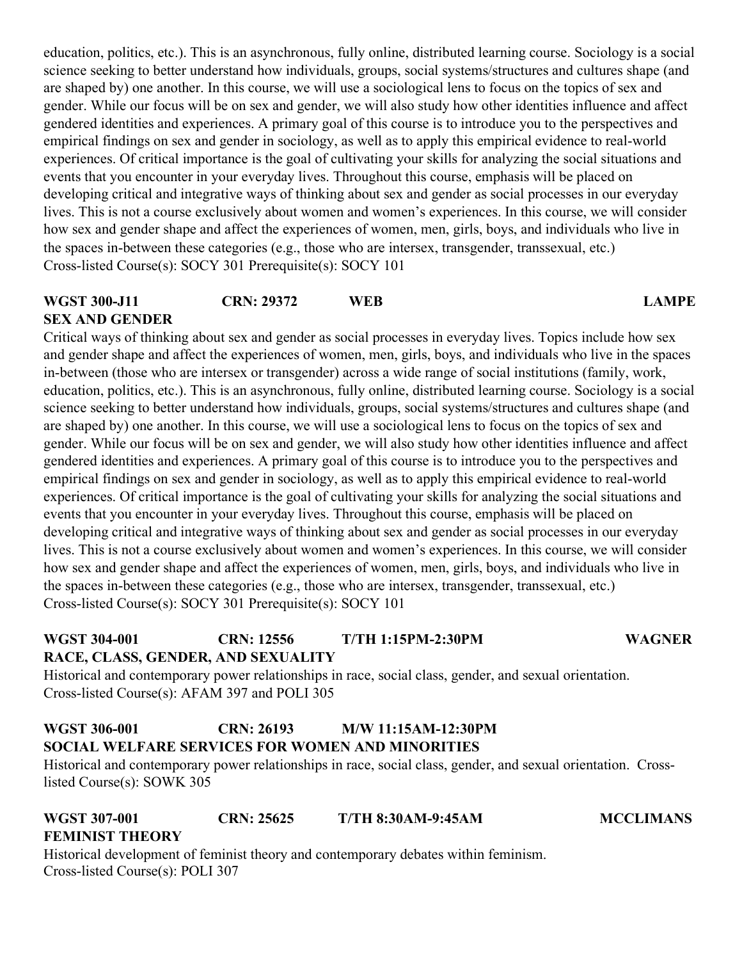education, politics, etc.). This is an asynchronous, fully online, distributed learning course. Sociology is a social science seeking to better understand how individuals, groups, social systems/structures and cultures shape (and are shaped by) one another. In this course, we will use a sociological lens to focus on the topics of sex and gender. While our focus will be on sex and gender, we will also study how other identities influence and affect gendered identities and experiences. A primary goal of this course is to introduce you to the perspectives and empirical findings on sex and gender in sociology, as well as to apply this empirical evidence to real-world experiences. Of critical importance is the goal of cultivating your skills for analyzing the social situations and events that you encounter in your everyday lives. Throughout this course, emphasis will be placed on developing critical and integrative ways of thinking about sex and gender as social processes in our everyday lives. This is not a course exclusively about women and women's experiences. In this course, we will consider how sex and gender shape and affect the experiences of women, men, girls, boys, and individuals who live in the spaces in-between these categories (e.g., those who are intersex, transgender, transsexual, etc.) Cross-listed Course(s): SOCY 301 Prerequisite(s): SOCY 101

### **WGST 300-J11 CRN: 29372 WEB LAMPE SEX AND GENDER**

Critical ways of thinking about sex and gender as social processes in everyday lives. Topics include how sex and gender shape and affect the experiences of women, men, girls, boys, and individuals who live in the spaces in-between (those who are intersex or transgender) across a wide range of social institutions (family, work, education, politics, etc.). This is an asynchronous, fully online, distributed learning course. Sociology is a social science seeking to better understand how individuals, groups, social systems/structures and cultures shape (and are shaped by) one another. In this course, we will use a sociological lens to focus on the topics of sex and gender. While our focus will be on sex and gender, we will also study how other identities influence and affect gendered identities and experiences. A primary goal of this course is to introduce you to the perspectives and empirical findings on sex and gender in sociology, as well as to apply this empirical evidence to real-world experiences. Of critical importance is the goal of cultivating your skills for analyzing the social situations and events that you encounter in your everyday lives. Throughout this course, emphasis will be placed on developing critical and integrative ways of thinking about sex and gender as social processes in our everyday lives. This is not a course exclusively about women and women's experiences. In this course, we will consider how sex and gender shape and affect the experiences of women, men, girls, boys, and individuals who live in the spaces in-between these categories (e.g., those who are intersex, transgender, transsexual, etc.) Cross-listed Course(s): SOCY 301 Prerequisite(s): SOCY 101

## **WGST 304-001 CRN: 12556 T/TH 1:15PM-2:30PM WAGNER RACE, CLASS, GENDER, AND SEXUALITY**

Historical and contemporary power relationships in race, social class, gender, and sexual orientation. Cross-listed Course(s): AFAM 397 and POLI 305

# **WGST 306-001 CRN: 26193 M/W 11:15AM-12:30PM SOCIAL WELFARE SERVICES FOR WOMEN AND MINORITIES**

Historical and contemporary power relationships in race, social class, gender, and sexual orientation. Crosslisted Course(s): SOWK 305

# **WGST 307-001 CRN: 25625 T/TH 8:30AM-9:45AM MCCLIMANS FEMINIST THEORY**

Historical development of feminist theory and contemporary debates within feminism. Cross-listed Course(s): POLI 307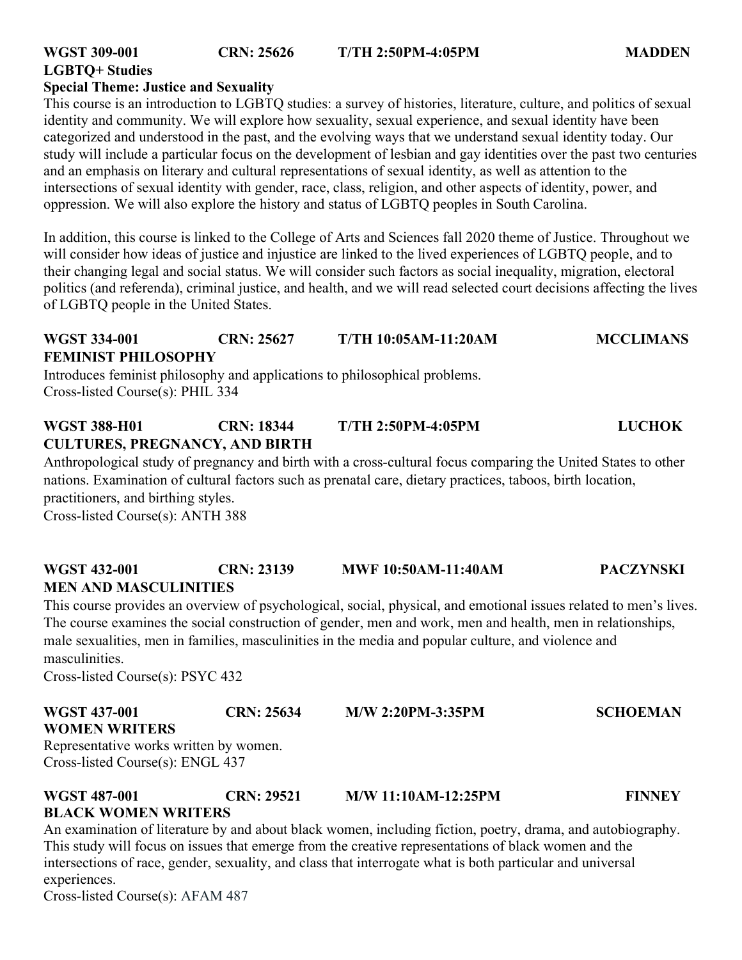# **LGBTQ+ Studies**

**Special Theme: Justice and Sexuality**

This course is an introduction to LGBTQ studies: a survey of histories, literature, culture, and politics of sexual identity and community. We will explore how sexuality, sexual experience, and sexual identity have been categorized and understood in the past, and the evolving ways that we understand sexual identity today. Our study will include a particular focus on the development of lesbian and gay identities over the past two centuries and an emphasis on literary and cultural representations of sexual identity, as well as attention to the intersections of sexual identity with gender, race, class, religion, and other aspects of identity, power, and oppression. We will also explore the history and status of LGBTQ peoples in South Carolina.

In addition, this course is linked to the College of Arts and Sciences fall 2020 theme of Justice. Throughout we will consider how ideas of justice and injustice are linked to the lived experiences of LGBTQ people, and to their changing legal and social status. We will consider such factors as social inequality, migration, electoral politics (and referenda), criminal justice, and health, and we will read selected court decisions affecting the lives of LGBTQ people in the United States.

### **WGST 334-001 CRN: 25627 T/TH 10:05AM-11:20AM MCCLIMANS FEMINIST PHILOSOPHY** Introduces feminist philosophy and applications to philosophical problems.

Cross-listed Course(s): PHIL 334

### **WGST 388-H01 CRN: 18344 T/TH 2:50PM-4:05PM LUCHOK CULTURES, PREGNANCY, AND BIRTH**

Anthropological study of pregnancy and birth with a cross-cultural focus comparing the United States to other nations. Examination of cultural factors such as prenatal care, dietary practices, taboos, birth location, practitioners, and birthing styles.

Cross-listed Course(s): ANTH 388

### **WGST 432-001 CRN: 23139 MWF 10:50AM-11:40AM PACZYNSKI MEN AND MASCULINITIES**

This course provides an overview of psychological, social, physical, and emotional issues related to men's lives. The course examines the social construction of gender, men and work, men and health, men in relationships, male sexualities, men in families, masculinities in the media and popular culture, and violence and masculinities.

Cross-listed Course(s): PSYC 432

### **WGST 437-001 CRN: 25634 M/W 2:20PM-3:35PM SCHOEMAN WOMEN WRITERS** Representative works written by women.

Cross-listed Course(s): ENGL 437

### **WGST 487-001 CRN: 29521 M/W 11:10AM-12:25PM FINNEY BLACK WOMEN WRITERS**

An examination of literature by and about black women, including fiction, poetry, drama, and autobiography. This study will focus on issues that emerge from the creative representations of black women and the intersections of race, gender, sexuality, and class that interrogate what is both particular and universal experiences.

Cross-listed Course(s): AFAM 487